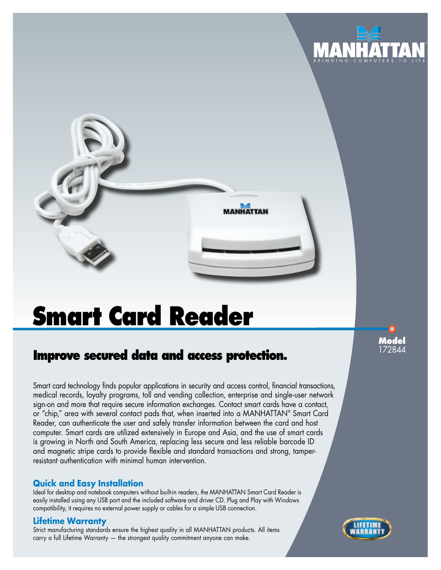

# **Smart Card Reader**

# **Improve secured data and access protection.**

Smart card technology finds popular applications in security and access control, financial transactions, medical records, loyalty programs, toll and vending collection, enterprise and single-user network sign-on and more that require secure information exchanges. Contact smart cards have a contact, or "chip," area with several contact pads that, when inserted into a MANHATTAN® Smart Card Reader, can authenticate the user and safely transfer information between the card and host computer. Smart cards are utilized extensively in Europe and Asia, and the use of smart cards is growing in North and South America, replacing less secure and less reliable barcode ID and magnetic stripe cards to provide flexible and standard transactions and strong, tamperresistant authentication with minimal human intervention.

### **Quick and Easy Installation**

Ideal for desktop and notebook computers without built-in readers, the MANHATTAN Smart Card Reader is easily installed using any USB port and the included software and driver CD. Plug and Play with Windows compatibility, it requires no external power supply or cables for a simple USB connection.

#### **Lifetime Warranty**

Strict manufacturing standards ensure the highest quality in all MANHATTAN products. All items carry a full Lifetime Warranty — the strongest quality commitment anyone can make.

**Model**